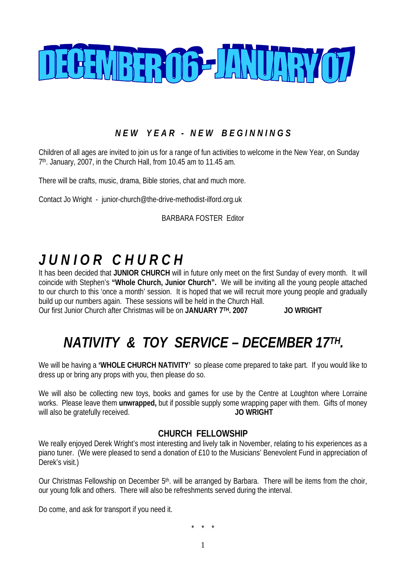

# *N E W Y E A R - N E W B E G I N N I N G S*

Children of all ages are invited to join us for a range of fun activities to welcome in the New Year, on Sunday  $7<sup>th</sup>$ . January, 2007, in the Church Hall, from 10.45 am to 11.45 am.

There will be crafts, music, drama, Bible stories, chat and much more.

Contact Jo Wright - junior-church@the-drive-methodist-ilford.org.uk

BARBARA FOSTER Editor

# *J U N I O R C H U R C H*

It has been decided that **JUNIOR CHURCH** will in future only meet on the first Sunday of every month. It will coincide with Stephen's **"Whole Church, Junior Church".** We will be inviting all the young people attached to our church to this 'once a month' session. It is hoped that we will recruit more young people and gradually build up our numbers again. These sessions will be held in the Church Hall. Our first Junior Church after Christmas will be on **JANUARY 7TH. 2007 JO WRIGHT** 

# *NATIVITY & TOY SERVICE – DECEMBER 17TH.*

We will be having a **'WHOLE CHURCH NATIVITY'** so please come prepared to take part. If you would like to dress up or bring any props with you, then please do so.

We will also be collecting new toys, books and games for use by the Centre at Loughton where Lorraine works. Please leave them **unwrapped,** but if possible supply some wrapping paper with them. Gifts of money will also be gratefully received. **JO WRIGHT** 

### **CHURCH FELLOWSHIP**

We really enjoyed Derek Wright's most interesting and lively talk in November, relating to his experiences as a piano tuner. (We were pleased to send a donation of £10 to the Musicians' Benevolent Fund in appreciation of Derek's visit.)

Our Christmas Fellowship on December 5<sup>th</sup>. will be arranged by Barbara. There will be items from the choir, our young folk and others. There will also be refreshments served during the interval.

Do come, and ask for transport if you need it.

\* \* \*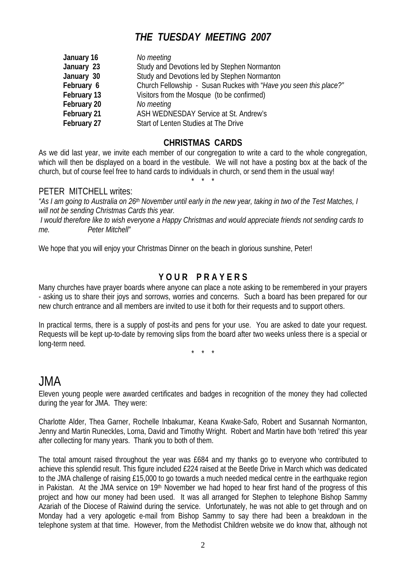# *THE TUESDAY MEETING 2007*

| January 16  | No meeting                                                        |
|-------------|-------------------------------------------------------------------|
| January 23  | Study and Devotions led by Stephen Normanton                      |
| January 30  | Study and Devotions led by Stephen Normanton                      |
| February 6  | Church Fellowship - Susan Ruckes with "Have you seen this place?" |
| February 13 | Visitors from the Mosque (to be confirmed)                        |
| February 20 | No meeting                                                        |
| February 21 | ASH WEDNESDAY Service at St. Andrew's                             |
| February 27 | Start of Lenten Studies at The Drive                              |

### **CHRISTMAS CARDS**

As we did last year, we invite each member of our congregation to write a card to the whole congregation, which will then be displayed on a board in the vestibule. We will not have a posting box at the back of the church, but of course feel free to hand cards to individuals in church, or send them in the usual way! \* \* \*

#### PETER MITCHELL writes:

*"As I am going to Australia on 26th November until early in the new year, taking in two of the Test Matches, I will not be sending Christmas Cards this year. I would therefore like to wish everyone a Happy Christmas and would appreciate friends not sending cards to me. Peter Mitchell"* 

We hope that you will enjoy your Christmas Dinner on the beach in glorious sunshine, Peter!

### **Y O U R P R A Y E R S**

Many churches have prayer boards where anyone can place a note asking to be remembered in your prayers - asking us to share their joys and sorrows, worries and concerns. Such a board has been prepared for our new church entrance and all members are invited to use it both for their requests and to support others.

In practical terms, there is a supply of post-its and pens for your use. You are asked to date your request. Requests will be kept up-to-date by removing slips from the board after two weeks unless there is a special or long-term need.

\* \* \*

# JMA

Eleven young people were awarded certificates and badges in recognition of the money they had collected during the year for JMA. They were:

Charlotte Alder, Thea Garner, Rochelle Inbakumar, Keana Kwake-Safo, Robert and Susannah Normanton, Jenny and Martin Runeckles, Lorna, David and Timothy Wright. Robert and Martin have both 'retired' this year after collecting for many years. Thank you to both of them.

The total amount raised throughout the year was £684 and my thanks go to everyone who contributed to achieve this splendid result. This figure included £224 raised at the Beetle Drive in March which was dedicated to the JMA challenge of raising £15,000 to go towards a much needed medical centre in the earthquake region in Pakistan. At the JMA service on 19<sup>th</sup> November we had hoped to hear first hand of the progress of this project and how our money had been used. It was all arranged for Stephen to telephone Bishop Sammy Azariah of the Diocese of Raiwind during the service. Unfortunately, he was not able to get through and on Monday had a very apologetic e-mail from Bishop Sammy to say there had been a breakdown in the telephone system at that time. However, from the Methodist Children website we do know that, although not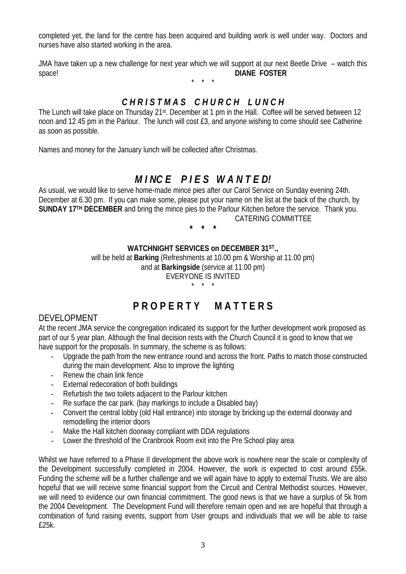completed yet, the land for the centre has been acquired and building work is well under way. Doctors and nurses have also started working in the area.

JMA have taken up a new challenge for next year which we will support at our next Beetle Drive – watch this space! **DIANE FOSTER** 

\* \* \*

## *C H R I S T M A S C H U R C H L U N C H*

The Lunch will take place on Thursday 21st. December at 1 pm in the Hall. Coffee will be served between 12 noon and 12.45 pm in the Parlour. The lunch will cost £3, and anyone wishing to come should see Catherine as soon as possible.

Names and money for the January lunch will be collected after Christmas.

# *M I NC E P I E S W A N T E D!*

As usual, we would like to serve home-made mince pies after our Carol Service on Sunday evening 24th. December at 6.30 pm. If you can make some, please put your name on the list at the back of the church, by **SUNDAY 17TH DECEMBER** and bring the mince pies to the Parlour Kitchen before the service. Thank you. CATERING COMMITTEE

**\* \* \*** 

### **WATCHNIGHT SERVICES on DECEMBER 31ST.,**

will be held at **Barking** (Refreshments at 10.00 pm & Worship at 11.00 pm) and at **Barkingside** (service at 11.00 pm) EVERYONE IS INVITED

\* \* \*

# **P R O P E R T Y M A T T E R S**

### DEVELOPMENT

At the recent JMA service the congregation indicated its support for the further development work proposed as part of our 5 year plan. Although the final decision rests with the Church Council it is good to know that we have support for the proposals. In summary, the scheme is as follows:

- Upgrade the path from the new entrance round and across the front. Paths to match those constructed during the main development. Also to improve the lighting
- Renew the chain link fence
- External redecoration of both buildings
- Refurbish the two toilets adjacent to the Parlour kitchen
- Re surface the car park. (bay markings to include a Disabled bay)
- Convert the central lobby (old Hall entrance) into storage by bricking up the external doorway and remodelling the interior doors
- Make the Hall kitchen doorway compliant with DDA regulations
- Lower the threshold of the Cranbrook Room exit into the Pre School play area

Whilst we have referred to a Phase II development the above work is nowhere near the scale or complexity of the Development successfully completed in 2004. However, the work is expected to cost around £55k. Funding the scheme will be a further challenge and we will again have to apply to external Trusts. We are also hopeful that we will receive some financial support from the Circuit and Central Methodist sources. However, we will need to evidence our own financial commitment. The good news is that we have a surplus of 5k from the 2004 Development. The Development Fund will therefore remain open and we are hopeful that through a combination of fund raising events, support from User groups and individuals that we will be able to raise £25k.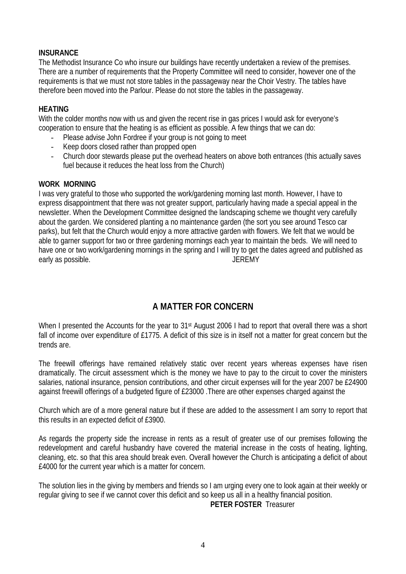### **INSURANCE**

The Methodist Insurance Co who insure our buildings have recently undertaken a review of the premises. There are a number of requirements that the Property Committee will need to consider, however one of the requirements is that we must not store tables in the passageway near the Choir Vestry. The tables have therefore been moved into the Parlour. Please do not store the tables in the passageway.

#### **HEATING**

With the colder months now with us and given the recent rise in gas prices I would ask for everyone's cooperation to ensure that the heating is as efficient as possible. A few things that we can do:

- Please advise John Fordree if your group is not going to meet
- Keep doors closed rather than propped open
- Church door stewards please put the overhead heaters on above both entrances (this actually saves fuel because it reduces the heat loss from the Church)

#### **WORK MORNING**

I was very grateful to those who supported the work/gardening morning last month. However, I have to express disappointment that there was not greater support, particularly having made a special appeal in the newsletter. When the Development Committee designed the landscaping scheme we thought very carefully about the garden. We considered planting a no maintenance garden (the sort you see around Tesco car parks), but felt that the Church would enjoy a more attractive garden with flowers. We felt that we would be able to garner support for two or three gardening mornings each year to maintain the beds. We will need to have one or two work/gardening mornings in the spring and I will try to get the dates agreed and published as early as possible. The contract of the set of the set of the set of the set of the set of the set of the set of the set of the set of the set of the set of the set of the set of the set of the set of the set of the set of

# **A MATTER FOR CONCERN**

When I presented the Accounts for the year to 31<sup>st</sup> August 2006 I had to report that overall there was a short fall of income over expenditure of £1775. A deficit of this size is in itself not a matter for great concern but the trends are.

The freewill offerings have remained relatively static over recent years whereas expenses have risen dramatically. The circuit assessment which is the money we have to pay to the circuit to cover the ministers salaries, national insurance, pension contributions, and other circuit expenses will for the year 2007 be £24900 against freewill offerings of a budgeted figure of £23000 .There are other expenses charged against the

Church which are of a more general nature but if these are added to the assessment I am sorry to report that this results in an expected deficit of £3900.

As regards the property side the increase in rents as a result of greater use of our premises following the redevelopment and careful husbandry have covered the material increase in the costs of heating, lighting, cleaning, etc. so that this area should break even. Overall however the Church is anticipating a deficit of about £4000 for the current year which is a matter for concern.

The solution lies in the giving by members and friends so I am urging every one to look again at their weekly or regular giving to see if we cannot cover this deficit and so keep us all in a healthy financial position.

**PETER FOSTER** Treasurer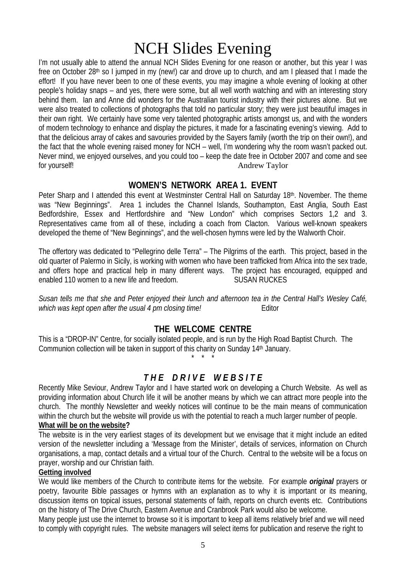# NCH Slides Evening

I'm not usually able to attend the annual NCH Slides Evening for one reason or another, but this year I was free on October 28th so I jumped in my (new!) car and drove up to church, and am I pleased that I made the effort! If you have never been to one of these events, you may imagine a whole evening of looking at other people's holiday snaps – and yes, there were some, but all well worth watching and with an interesting story behind them. Ian and Anne did wonders for the Australian tourist industry with their pictures alone. But we were also treated to collections of photographs that told no particular story; they were just beautiful images in their own right. We certainly have some very talented photographic artists amongst us, and with the wonders of modern technology to enhance and display the pictures, it made for a fascinating evening's viewing. Add to that the delicious array of cakes and savouries provided by the Sayers family (worth the trip on their own!), and the fact that the whole evening raised money for NCH – well, I'm wondering why the room wasn't packed out. Never mind, we enjoyed ourselves, and you could too – keep the date free in October 2007 and come and see for yourself! Andrew Taylor

### **WOMEN'S NETWORK AREA 1. EVENT**

Peter Sharp and I attended this event at Westminster Central Hall on Saturday 18th. November. The theme was "New Beginnings". Area 1 includes the Channel Islands, Southampton, East Anglia, South East Bedfordshire, Essex and Hertfordshire and "New London" which comprises Sectors 1,2 and 3. Representatives came from all of these, including a coach from Clacton. Various well-known speakers developed the theme of "New Beginnings", and the well-chosen hymns were led by the Walworth Choir.

The offertory was dedicated to "Pellegrino delle Terra" – The Pilgrims of the earth. This project, based in the old quarter of Palermo in Sicily, is working with women who have been trafficked from Africa into the sex trade, and offers hope and practical help in many different ways. The project has encouraged, equipped and enabled 110 women to a new life and freedom. SUSAN RUCKES

*Susan tells me that she and Peter enjoyed their lunch and afternoon tea in the Central Hall's Wesley Café, which was kept open after the usual 4 pm closing time!*  $\qquad \qquad$  Editor

## **THE WELCOME CENTRE**

This is a "DROP-IN" Centre, for socially isolated people, and is run by the High Road Baptist Church. The Communion collection will be taken in support of this charity on Sunday 14<sup>th</sup> January.

\* \* \*

# *T H E D R I V E W E B S I T E*

Recently Mike Seviour, Andrew Taylor and I have started work on developing a Church Website. As well as providing information about Church life it will be another means by which we can attract more people into the church. The monthly Newsletter and weekly notices will continue to be the main means of communication within the church but the website will provide us with the potential to reach a much larger number of people.

#### **What will be on the website?**

The website is in the very earliest stages of its development but we envisage that it might include an edited version of the newsletter including a 'Message from the Minister', details of services, information on Church organisations, a map, contact details and a virtual tour of the Church. Central to the website will be a focus on prayer, worship and our Christian faith.

#### **Getting involved**

We would like members of the Church to contribute items for the website. For example *original* prayers or poetry, favourite Bible passages or hymns with an explanation as to why it is important or its meaning, discussion items on topical issues, personal statements of faith, reports on church events etc. Contributions on the history of The Drive Church, Eastern Avenue and Cranbrook Park would also be welcome.

Many people just use the internet to browse so it is important to keep all items relatively brief and we will need to comply with copyright rules. The website managers will select items for publication and reserve the right to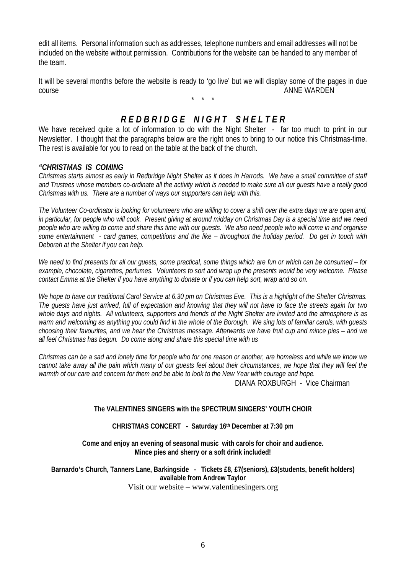edit all items. Personal information such as addresses, telephone numbers and email addresses will not be included on the website without permission. Contributions for the website can be handed to any member of the team.

It will be several months before the website is ready to 'go live' but we will display some of the pages in due course **ANNE WARDEN** 

\* \* \*

## *R E D B R I D G E N I G H T S H E L T E R*

We have received quite a lot of information to do with the Night Shelter - far too much to print in our Newsletter. I thought that the paragraphs below are the right ones to bring to our notice this Christmas-time. The rest is available for you to read on the table at the back of the church.

#### *"CHRISTMAS IS COMING*

*Christmas starts almost as early in Redbridge Night Shelter as it does in Harrods. We have a small committee of staff and Trustees whose members co-ordinate all the activity which is needed to make sure all our guests have a really good Christmas with us. There are a number of ways our supporters can help with this.* 

*The Volunteer Co-ordinator is looking for volunteers who are willing to cover a shift over the extra days we are open and, in particular, for people who will cook. Present giving at around midday on Christmas Day is a special time and we need people who are willing to come and share this time with our guests. We also need people who will come in and organise some entertainment - card games, competitions and the like – throughout the holiday period. Do get in touch with Deborah at the Shelter if you can help.* 

*We need to find presents for all our guests, some practical, some things which are fun or which can be consumed – for example, chocolate, cigarettes, perfumes. Volunteers to sort and wrap up the presents would be very welcome. Please contact Emma at the Shelter if you have anything to donate or if you can help sort, wrap and so on.* 

*We hope to have our traditional Carol Service at 6.30 pm on Christmas Eve. This is a highlight of the Shelter Christmas. The guests have just arrived, full of expectation and knowing that they will not have to face the streets again for two whole days and nights. All volunteers, supporters and friends of the Night Shelter are invited and the atmosphere is as warm and welcoming as anything you could find in the whole of the Borough. We sing lots of familiar carols, with guests choosing their favourites, and we hear the Christmas message. Afterwards we have fruit cup and mince pies – and we all feel Christmas has begun. Do come along and share this special time with us* 

*Christmas can be a sad and lonely time for people who for one reason or another, are homeless and while we know we cannot take away all the pain which many of our guests feel about their circumstances, we hope that they will feel the*  warmth of our care and concern for them and be able to look to the New Year with courage and hope. DIANA ROXBURGH - Vice Chairman

#### **The VALENTINES SINGERS with the SPECTRUM SINGERS' YOUTH CHOIR**

#### **CHRISTMAS CONCERT - Saturday 16th December at 7:30 pm**

**Come and enjoy an evening of seasonal music with carols for choir and audience. Mince pies and sherry or a soft drink included!** 

**Barnardo's Church, Tanners Lane, Barkingside - Tickets £8, £7(seniors), £3(students, benefit holders) available from Andrew Taylor**  Visit our website – www.valentinesingers.org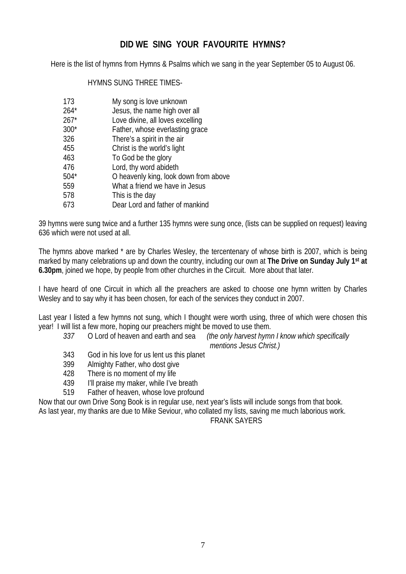## **DID WE SING YOUR FAVOURITE HYMNS?**

Here is the list of hymns from Hymns & Psalms which we sang in the year September 05 to August 06.

### HYMNS SUNG THREE TIMES-

| 173 | My song is love unknown |
|-----|-------------------------|
|-----|-------------------------|

- 264\* Jesus, the name high over all
- 267\* Love divine, all loves excelling
- 300\* Father, whose everlasting grace
- 326 There's a spirit in the air
- 455 Christ is the world's light
- 463 To God be the glory
- 476 Lord, thy word abideth
- 504\* O heavenly king, look down from above
- 559 What a friend we have in Jesus
- 578 This is the day
- 673 Dear Lord and father of mankind

39 hymns were sung twice and a further 135 hymns were sung once, (lists can be supplied on request) leaving 636 which were not used at all.

The hymns above marked \* are by Charles Wesley, the tercentenary of whose birth is 2007, which is being marked by many celebrations up and down the country, including our own at **The Drive on Sunday July 1st at 6.30pm**, joined we hope, by people from other churches in the Circuit. More about that later.

I have heard of one Circuit in which all the preachers are asked to choose one hymn written by Charles Wesley and to say why it has been chosen, for each of the services they conduct in 2007.

Last year I listed a few hymns not sung, which I thought were worth using, three of which were chosen this year! I will list a few more, hoping our preachers might be moved to use them.

- *337* O Lord of heaven and earth and sea *(the only harvest hymn I know which specifically mentions Jesus Christ.)*
- 343 God in his love for us lent us this planet
- 399 Almighty Father, who dost give
- 428 There is no moment of my life
- 439 I'll praise my maker, while I've breath
- 519 Father of heaven, whose love profound

Now that our own Drive Song Book is in regular use, next year's lists will include songs from that book.

As last year, my thanks are due to Mike Seviour, who collated my lists, saving me much laborious work.

FRANK SAYERS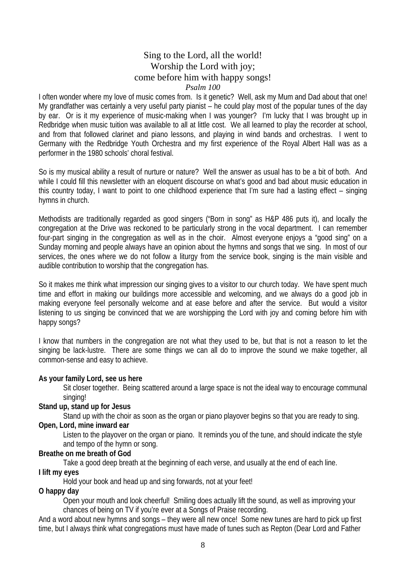### Sing to the Lord, all the world! Worship the Lord with joy; come before him with happy songs! *Psalm 100*

I often wonder where my love of music comes from. Is it genetic? Well, ask my Mum and Dad about that one! My grandfather was certainly a very useful party pianist – he could play most of the popular tunes of the day by ear. Or is it my experience of music-making when I was younger? I'm lucky that I was brought up in Redbridge when music tuition was available to all at little cost. We all learned to play the recorder at school, and from that followed clarinet and piano lessons, and playing in wind bands and orchestras. I went to Germany with the Redbridge Youth Orchestra and my first experience of the Royal Albert Hall was as a performer in the 1980 schools' choral festival.

So is my musical ability a result of nurture or nature? Well the answer as usual has to be a bit of both. And while I could fill this newsletter with an eloquent discourse on what's good and bad about music education in this country today, I want to point to one childhood experience that I'm sure had a lasting effect – singing hymns in church.

Methodists are traditionally regarded as good singers ("Born in song" as H&P 486 puts it), and locally the congregation at the Drive was reckoned to be particularly strong in the vocal department. I can remember four-part singing in the congregation as well as in the choir. Almost everyone enjoys a "good sing" on a Sunday morning and people always have an opinion about the hymns and songs that we sing. In most of our services, the ones where we do not follow a liturgy from the service book, singing is the main visible and audible contribution to worship that the congregation has.

So it makes me think what impression our singing gives to a visitor to our church today. We have spent much time and effort in making our buildings more accessible and welcoming, and we always do a good job in making everyone feel personally welcome and at ease before and after the service. But would a visitor listening to us singing be convinced that we are worshipping the Lord with joy and coming before him with happy songs?

I know that numbers in the congregation are not what they used to be, but that is not a reason to let the singing be lack-lustre. There are some things we can all do to improve the sound we make together, all common-sense and easy to achieve.

#### **As your family Lord, see us here**

Sit closer together. Being scattered around a large space is not the ideal way to encourage communal singing!

#### **Stand up, stand up for Jesus**

Stand up with the choir as soon as the organ or piano playover begins so that you are ready to sing.

#### **Open, Lord, mine inward ear**

Listen to the playover on the organ or piano. It reminds you of the tune, and should indicate the style and tempo of the hymn or song.

#### **Breathe on me breath of God**

Take a good deep breath at the beginning of each verse, and usually at the end of each line.

#### **I lift my eyes**

Hold your book and head up and sing forwards, not at your feet!

### **O happy day**

Open your mouth and look cheerful! Smiling does actually lift the sound, as well as improving your chances of being on TV if you're ever at a Songs of Praise recording.

And a word about new hymns and songs – they were all new once! Some new tunes are hard to pick up first time, but I always think what congregations must have made of tunes such as Repton (Dear Lord and Father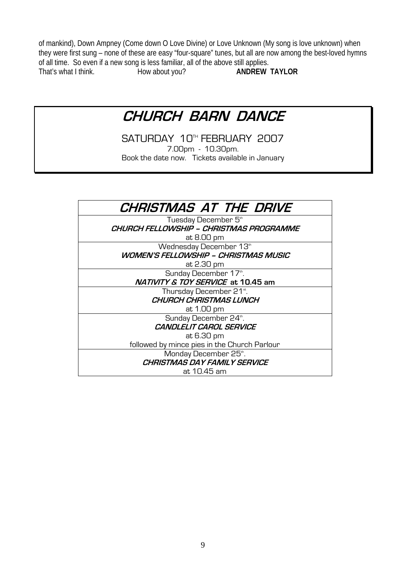of mankind), Down Ampney (Come down O Love Divine) or Love Unknown (My song is love unknown) when they were first sung – none of these are easy "four-square" tunes, but all are now among the best-loved hymns of all time. So even if a new song is less familiar, all of the above still applies.<br>That's what I think. How about you? **ANDREW** That's what I think. How about you? **ANDREW TAYLOR**

# **CHURCH BARN DANCE**

SATURDAY 10<sup>TH</sup> FEBRUARY 2007 7.00pm - 10.30pm. Book the date now. Tickets available in January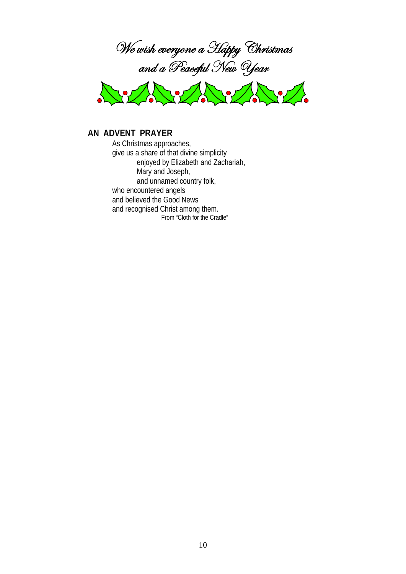



### **AN ADVENT PRAYER**

As Christmas approaches, give us a share of that divine simplicity enjoyed by Elizabeth and Zachariah, Mary and Joseph, and unnamed country folk, who encountered angels and believed the Good News and recognised Christ among them. From "Cloth for the Cradle"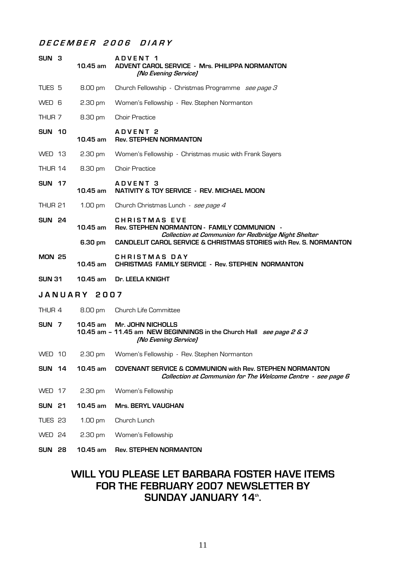### **D E C E M B E R 2 0 0 6 D I A R Y**

| SUN 3               |  | $10.45$ am        | ADVENT <sub>1</sub><br>ADVENT CAROL SERVICE - Mrs. PHILIPPA NORMANTON<br>[No Evening Service]                                      |  |
|---------------------|--|-------------------|------------------------------------------------------------------------------------------------------------------------------------|--|
| TUES 5              |  | 8.00 pm           | Church Fellowship - Christmas Programme see page 3                                                                                 |  |
| WED 6               |  | $2.30 \text{ pm}$ | Women's Fellowship - Rev. Stephen Normanton                                                                                        |  |
| THUR 7              |  | 8.30 pm           | <b>Choir Practice</b>                                                                                                              |  |
| <b>SUN 10</b>       |  | 10.45 am          | <b>ADVENT 2</b><br><b>Rev. STEPHEN NORMANTON</b>                                                                                   |  |
| WED 13              |  | $2.30 \text{ pm}$ | Women's Fellowship - Christmas music with Frank Sayers                                                                             |  |
| THUR 14             |  | 8.30 pm           | <b>Choir Practice</b>                                                                                                              |  |
| <b>SUN 17</b>       |  | 10.45 am          | <b>ADVENT 3</b><br><b>NATIVITY &amp; TOY SERVICE - REV. MICHAEL MOON</b>                                                           |  |
| THUR 21             |  | 1.00 pm           | Church Christmas Lunch - see page 4                                                                                                |  |
| <b>SUN 24</b>       |  | 10.45 am          | <b>CHRISTMAS EVE</b><br>Rev. STEPHEN NORMANTON - FAMILY COMMUNION -<br>Collection at Communion for Redbridge Night Shelter         |  |
|                     |  | 6.30 pm           | <b>CANDLELIT CAROL SERVICE &amp; CHRISTMAS STORIES with Rev. S. NORMANTON</b>                                                      |  |
| <b>MON 25</b>       |  | 10.45 am          | <b>CHRISTMAS DAY</b><br><b>CHRISTMAS FAMILY SERVICE - Rev. STEPHEN NORMANTON</b>                                                   |  |
| <b>SUN 31</b>       |  | 10.45 am          | Dr. LEELA KNIGHT                                                                                                                   |  |
| <b>JANUARY 2007</b> |  |                   |                                                                                                                                    |  |
| THUR 4              |  | 8.00 pm           | Church Life Committee                                                                                                              |  |
| SUN <sub>7</sub>    |  | $10.45$ am        | <b>Mr. JOHN NICHOLLS</b><br>10.45 am - 11.45 am NEW BEGINNINGS in the Church Hall see page 2 & 3<br>[No Evening Service]           |  |
| WED 10              |  | $2.30$ pm         | Women's Fellowship - Rev. Stephen Normanton                                                                                        |  |
| <b>SUN 14</b>       |  | 10.45 am          | <b>COVENANT SERVICE &amp; COMMUNION with Rev. STEPHEN NORMANTON</b><br>Collection at Communion for The Welcome Centre - see page 6 |  |
| WED 17              |  | 2.30 pm           | Women's Fellowship                                                                                                                 |  |
| <b>SUN 21</b>       |  | 10.45 am          | <b>Mrs. BERYL VAUGHAN</b>                                                                                                          |  |
| TUES 23             |  | 1.00 pm           | Church Lunch                                                                                                                       |  |
| WED 24              |  | 2.30 pm           | Women's Fellowship                                                                                                                 |  |
| <b>SUN 28</b>       |  | 10.45 am          | <b>Rev. STEPHEN NORMANTON</b>                                                                                                      |  |

# **WILL YOU PLEASE LET BARBARA FOSTER HAVE ITEMS FOR THE FEBRUARY 2007 NEWSLETTER BY**  SUNDAY JANUARY 14th.